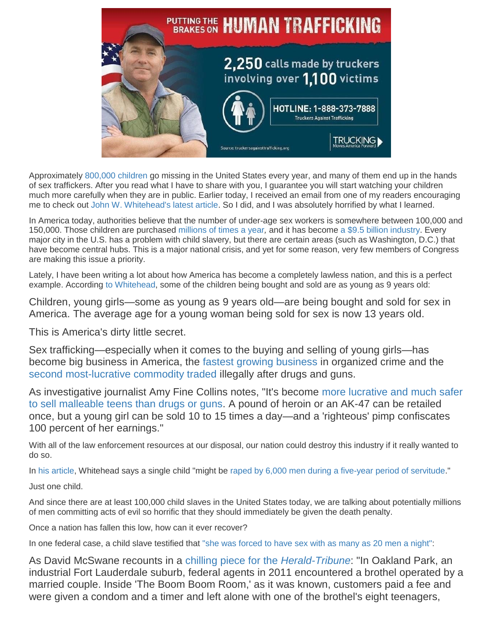

Approximately [800,000 children](https://abcnews.go.com/US/missing-children-america-unsolved-cases/story?id=19126967) go missing in the United States every year, and many of them end up in the hands of sex traffickers. After you read what I have to share with you, I guarantee you will start watching your children much more carefully when they are in public. Earlier today, I received an email from one of my readers encouraging me to check out [John W. Whitehead's latest article.](https://www.rutherford.org/publications_resources/john_whiteheads_commentary/the_essence_of_evil_sex_with_children_has_become_big_business_in_america) So I did, and I was absolutely horrified by what I learned.

In America today, authorities believe that the number of under-age sex workers is somewhere between 100,000 and 150,000. Those children are purchased [millions of times a year](https://www.usatoday.com/story/opinion/nation-now/2018/01/30/sex-trafficking-column/1073459001/)*,* and it has become [a \\$9.5 billion industry.](https://thinkprogress.org/the-fbi-just-rescued-168-kids-who-were-being-trafficked-for-sex-in-america-4c3a56ad2aee/) Every major city in the U.S. has a problem with child slavery, but there are certain areas (such as Washington, D.C.) that have become central hubs. This is a major national crisis, and yet for some reason, very few members of Congress are making this issue a priority.

Lately, I have been writing a lot about how America has become a completely lawless nation, and this is a perfect example. According [to Whitehead,](https://www.rutherford.org/publications_resources/john_whiteheads_commentary/the_essence_of_evil_sex_with_children_has_become_big_business_in_america) some of the children being bought and sold are as young as 9 years old:

Children, young girls—some as young as 9 years old—are being bought and sold for sex in America. The average age for a young woman being sold for sex is now 13 years old.

This is America's dirty little secret.

Sex trafficking—especially when it comes to the buying and selling of young girls—has become big business in America, the [fastest growing business](http://cbsaustin.com/news/local/walt-investigates-austin-part-of-sex-trafficking-triangle) in organized crime and the [second most-lucrative commodity traded](https://news.wgbh.org/post/human-trafficking-outpaces-drugs-guns-worlds-fastest-growing-criminal-industry) illegally after drugs and guns.

As investigative journalist Amy Fine Collins notes, "It's become [more lucrative and much safer](https://www.vanityfair.com/news/2011/05/sex-trafficking-201105)  [to sell malleable teens than drugs or guns.](https://www.vanityfair.com/news/2011/05/sex-trafficking-201105) A pound of heroin or an AK-47 can be retailed once, but a young girl can be sold 10 to 15 times a day—and a 'righteous' pimp confiscates 100 percent of her earnings."

With all of the law enforcement resources at our disposal, our nation could destroy this industry if it really wanted to do so.

In [his article,](https://www.rutherford.org/publications_resources/john_whiteheads_commentary/the_essence_of_evil_sex_with_children_has_become_big_business_in_america) Whitehead says a single child "might be [raped by 6,000 men during a five-year period of servitude.](http://articles.sun-sentinel.com/2010-02-05/news/fl-superbowl-sex-trafficking-20100205_1_human-trafficking-prostitution-super-bowl/2)"

Just one child.

And since there are at least 100,000 child slaves in the United States today, we are talking about potentially millions of men committing acts of evil so horrific that they should immediately be given the death penalty.

Once a nation has fallen this low, how can it ever recover?

In one federal case, a child slave testified that ["she was forced to have sex with as many as 20 men a night":](https://www.rutherford.org/publications_resources/john_whiteheads_commentary/the_essence_of_evil_sex_with_children_has_become_big_business_in_america)

As David McSwane recounts in a [chilling piece for the](http://thestolenones.heraldtribune.com/) *Herald-Tribune*: "In Oakland Park, an industrial Fort Lauderdale suburb, federal agents in 2011 encountered a brothel operated by a married couple. Inside 'The Boom Boom Room,' as it was known, customers paid a fee and were given a condom and a timer and left alone with one of the brothel's eight teenagers,